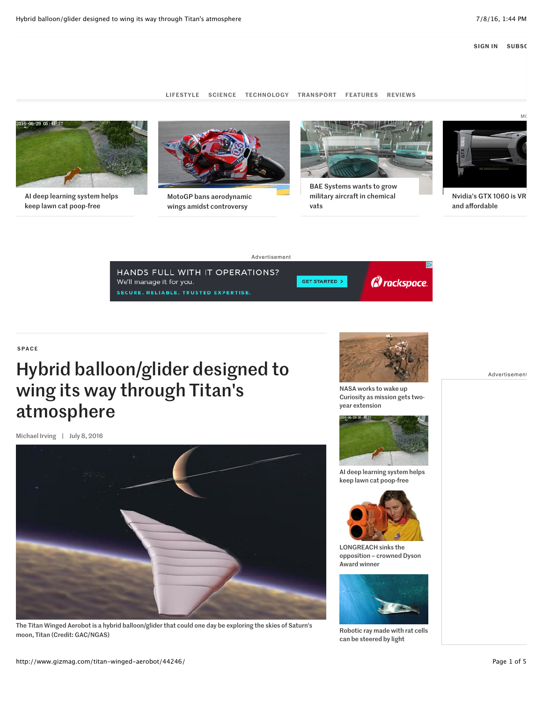LIFESTYLE SCIENCE TECHNOLOGY TRANSPORT FEATURES REVIEWS



AI deep learning system helps keep lawn cat poop-free



wings amidst controversy



BAE Systems wants to grow military aircraft in chemical vats



Nvidia's GTX 1060 is VR and affordable

## Advertisement



## SPACE

## Hybrid balloon/glider designed to wing its way through Titan's atmosphere

Michael Irving | July 8, 2016



The Titan Winged Aerobot is a hybrid balloon/glider that could one day be exploring the skies of Saturn's moon, Titan (Credit: GAC/NGAS)



NASA works to wake up Curiosity as mission gets twoyear extension



AI deep learning system helps keep lawn cat poop-free



LONGREACH sinks the opposition – crowned Dyson Award winner



Robotic ray made with rat cells can be steered by light

Advertisement